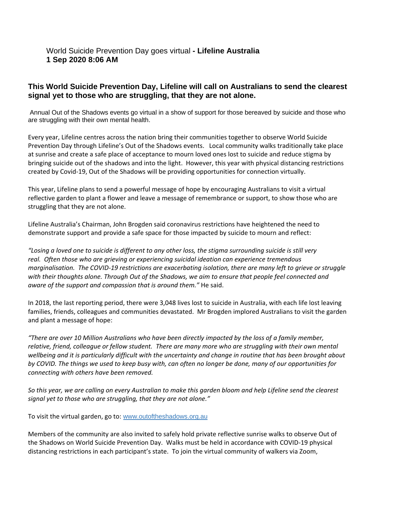## World Suicide Prevention Day goes virtual **- Lifeline Australia 1 Sep 2020 8:06 AM**

## **This World Suicide Prevention Day, Lifeline will call on Australians to send the clearest signal yet to those who are struggling, that they are not alone.**

Annual Out of the Shadows events go virtual in a show of support for those bereaved by suicide and those who are struggling with their own mental health.

Every year, Lifeline centres across the nation bring their communities together to observe World Suicide Prevention Day through Lifeline's Out of the Shadows events. Local community walks traditionally take place at sunrise and create a safe place of acceptance to mourn loved ones lost to suicide and reduce stigma by bringing suicide out of the shadows and into the light. However, this year with physical distancing restrictions created by Covid-19, Out of the Shadows will be providing opportunities for connection virtually.

This year, Lifeline plans to send a powerful message of hope by encouraging Australians to visit a virtual reflective garden to plant a flower and leave a message of remembrance or support, to show those who are struggling that they are not alone.

Lifeline Australia's Chairman, John Brogden said coronavirus restrictions have heightened the need to demonstrate support and provide a safe space for those impacted by suicide to mourn and reflect:

*"Losing a loved one to suicide is different to any other loss, the stigma surrounding suicide is still very real. Often those who are grieving or experiencing suicidal ideation can experience tremendous marginalisation. The COVID-19 restrictions are exacerbating isolation, there are many left to grieve or struggle with their thoughts alone. Through Out of the Shadows, we aim to ensure that people feel connected and aware of the support and compassion that is around them."* He said.

In 2018, the last reporting period, there were 3,048 lives lost to suicide in Australia, with each life lost leaving families, friends, colleagues and communities devastated. Mr Brogden implored Australians to visit the garden and plant a message of hope:

*"There are over 10 Million Australians who have been directly impacted by the loss of a family member, relative, friend, colleague or fellow student. There are many more who are struggling with their own mental*  wellbeing and it is particularly difficult with the uncertainty and change in routine that has been brought about *by COVID. The things we used to keep busy with, can often no longer be done, many of our opportunities for connecting with others have been removed.*

*So this year, we are calling on every Australian to make this garden bloom and help Lifeline send the clearest signal yet to those who are struggling, that they are not alone."*

To visit the virtual garden, go to: [www.outoftheshadows.org.au](http://www.outoftheshadows.org.au/)

Members of the community are also invited to safely hold private reflective sunrise walks to observe Out of the Shadows on World Suicide Prevention Day. Walks must be held in accordance with COVID-19 physical distancing restrictions in each participant's state. To join the virtual community of walkers via Zoom,